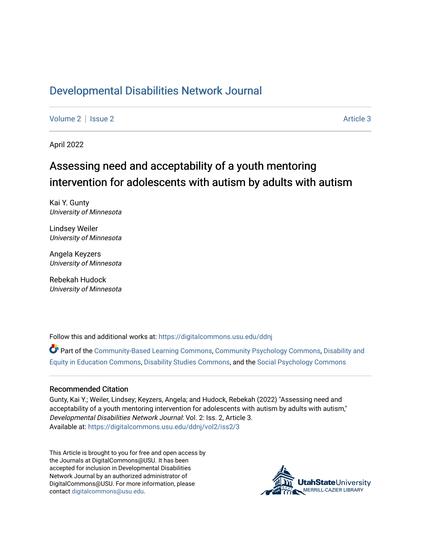## [Developmental Disabilities Network Journal](https://digitalcommons.usu.edu/ddnj)

[Volume 2](https://digitalcommons.usu.edu/ddnj/vol2) | [Issue 2](https://digitalcommons.usu.edu/ddnj/vol2/iss2) Article 3

April 2022

# Assessing need and acceptability of a youth mentoring intervention for adolescents with autism by adults with autism

Kai Y. Gunty University of Minnesota

Lindsey Weiler University of Minnesota

Angela Keyzers University of Minnesota

Rebekah Hudock University of Minnesota

Follow this and additional works at: [https://digitalcommons.usu.edu/ddnj](https://digitalcommons.usu.edu/ddnj?utm_source=digitalcommons.usu.edu%2Fddnj%2Fvol2%2Fiss2%2F3&utm_medium=PDF&utm_campaign=PDFCoverPages) 

Part of the [Community-Based Learning Commons,](http://network.bepress.com/hgg/discipline/1046?utm_source=digitalcommons.usu.edu%2Fddnj%2Fvol2%2Fiss2%2F3&utm_medium=PDF&utm_campaign=PDFCoverPages) [Community Psychology Commons](http://network.bepress.com/hgg/discipline/409?utm_source=digitalcommons.usu.edu%2Fddnj%2Fvol2%2Fiss2%2F3&utm_medium=PDF&utm_campaign=PDFCoverPages), [Disability and](http://network.bepress.com/hgg/discipline/1040?utm_source=digitalcommons.usu.edu%2Fddnj%2Fvol2%2Fiss2%2F3&utm_medium=PDF&utm_campaign=PDFCoverPages) [Equity in Education Commons](http://network.bepress.com/hgg/discipline/1040?utm_source=digitalcommons.usu.edu%2Fddnj%2Fvol2%2Fiss2%2F3&utm_medium=PDF&utm_campaign=PDFCoverPages), [Disability Studies Commons](http://network.bepress.com/hgg/discipline/1417?utm_source=digitalcommons.usu.edu%2Fddnj%2Fvol2%2Fiss2%2F3&utm_medium=PDF&utm_campaign=PDFCoverPages), and the [Social Psychology Commons](http://network.bepress.com/hgg/discipline/414?utm_source=digitalcommons.usu.edu%2Fddnj%2Fvol2%2Fiss2%2F3&utm_medium=PDF&utm_campaign=PDFCoverPages) 

#### Recommended Citation

Gunty, Kai Y.; Weiler, Lindsey; Keyzers, Angela; and Hudock, Rebekah (2022) "Assessing need and acceptability of a youth mentoring intervention for adolescents with autism by adults with autism," Developmental Disabilities Network Journal: Vol. 2: Iss. 2, Article 3. Available at: [https://digitalcommons.usu.edu/ddnj/vol2/iss2/3](https://digitalcommons.usu.edu/ddnj/vol2/iss2/3?utm_source=digitalcommons.usu.edu%2Fddnj%2Fvol2%2Fiss2%2F3&utm_medium=PDF&utm_campaign=PDFCoverPages) 

This Article is brought to you for free and open access by the Journals at DigitalCommons@USU. It has been accepted for inclusion in Developmental Disabilities Network Journal by an authorized administrator of DigitalCommons@USU. For more information, please contact [digitalcommons@usu.edu](mailto:digitalcommons@usu.edu).

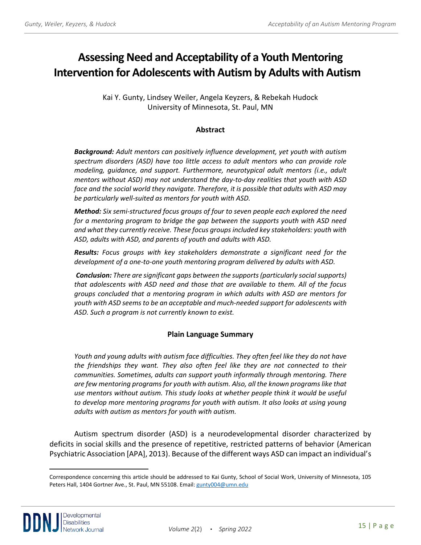## **Assessing Need and Acceptability of a Youth Mentoring Intervention for Adolescents with Autism by Adults with Autism <sup>a</sup>**

Kai Y. Gunty, Lindsey Weiler, Angela Keyzers, & Rebekah Hudock University of Minnesota, St. Paul, MN

## **Abstract**

*Background: Adult mentors can positively influence development, yet youth with autism spectrum disorders (ASD) have too little access to adult mentors who can provide role modeling, guidance, and support. Furthermore, neurotypical adult mentors (i.e., adult mentors without ASD) may not understand the day-to-day realities that youth with ASD*  face and the social world they navigate. Therefore, it is possible that adults with ASD may *be particularly well-suited as mentors for youth with ASD.* 

*Method: Six semi-structured focus groups of four to seven people each explored the need for a mentoring program to bridge the gap between the supports youth with ASD need and what they currently receive. These focus groups included key stakeholders: youth with ASD, adults with ASD, and parents of youth and adults with ASD.* 

*Results: Focus groups with key stakeholders demonstrate a significant need for the development of a one-to-one youth mentoring program delivered by adults with ASD.*

*Conclusion: There are significant gaps between the supports (particularly social supports) that adolescents with ASD need and those that are available to them. All of the focus groups concluded that a mentoring program in which adults with ASD are mentors for youth with ASD seems to be an acceptable and much-needed support for adolescents with ASD. Such a program is not currently known to exist.*

## **Plain Language Summary**

*Youth and young adults with autism face difficulties. They often feel like they do not have the friendships they want. They also often feel like they are not connected to their communities. Sometimes, adults can support youth informally through mentoring. There are few mentoring programs for youth with autism. Also, all the known programs like that use mentors without autism. This study looks at whether people think it would be useful to develop more mentoring programs for youth with autism. It also looks at using young adults with autism as mentors for youth with autism.*

Autism spectrum disorder (ASD) is a neurodevelopmental disorder characterized by deficits in social skills and the presence of repetitive, restricted patterns of behavior (American Psychiatric Association [APA], 2013). Because of the different ways ASD can impact an individual's

<sup>a</sup> Correspondence concerning this article should be addressed to Kai Gunty, School of Social Work, University of Minnesota, 105 Peters Hall, 1404 Gortner Ave., St. Paul, MN 55108. Email: [gunty004@umn.edu](mailto:gunty004@umn.edu)

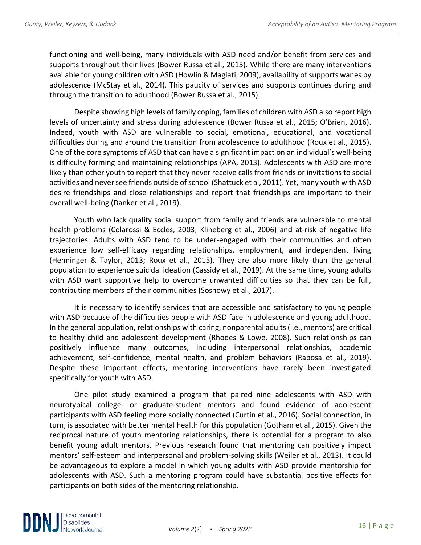functioning and well-being, many individuals with ASD need and/or benefit from services and supports throughout their lives (Bower Russa et al., 2015). While there are many interventions available for young children with ASD (Howlin & Magiati, 2009), availability of supports wanes by adolescence (McStay et al., 2014). This paucity of services and supports continues during and through the transition to adulthood (Bower Russa et al., 2015).

Despite showing high levels of family coping, families of children with ASD also report high levels of uncertainty and stress during adolescence (Bower Russa et al., 2015; O'Brien, 2016). Indeed, youth with ASD are vulnerable to social, emotional, educational, and vocational difficulties during and around the transition from adolescence to adulthood (Roux et al., 2015). One of the core symptoms of ASD that can have a significant impact on an individual's well-being is difficulty forming and maintaining relationships (APA, 2013). Adolescents with ASD are more likely than other youth to report that they never receive calls from friends or invitations to social activities and never see friends outside of school (Shattuck et al, 2011). Yet, many youth with ASD desire friendships and close relationships and report that friendships are important to their overall well-being (Danker et al., 2019).

Youth who lack quality social support from family and friends are vulnerable to mental health problems (Colarossi & Eccles, 2003; Klineberg et al., 2006) and at-risk of negative life trajectories. Adults with ASD tend to be under-engaged with their communities and often experience low self-efficacy regarding relationships, employment, and independent living (Henninger & Taylor, 2013; Roux et al., 2015). They are also more likely than the general population to experience suicidal ideation (Cassidy et al., 2019). At the same time, young adults with ASD want supportive help to overcome unwanted difficulties so that they can be full, contributing members of their communities (Sosnowy et al., 2017).

It is necessary to identify services that are accessible and satisfactory to young people with ASD because of the difficulties people with ASD face in adolescence and young adulthood. In the general population, relationships with caring, nonparental adults (i.e., mentors) are critical to healthy child and adolescent development (Rhodes & Lowe, 2008). Such relationships can positively influence many outcomes, including interpersonal relationships, academic achievement, self-confidence, mental health, and problem behaviors (Raposa et al., 2019). Despite these important effects, mentoring interventions have rarely been investigated specifically for youth with ASD.

One pilot study examined a program that paired nine adolescents with ASD with neurotypical college- or graduate-student mentors and found evidence of adolescent participants with ASD feeling more socially connected (Curtin et al., 2016). Social connection, in turn, is associated with better mental health for this population (Gotham et al., 2015). Given the reciprocal nature of youth mentoring relationships, there is potential for a program to also benefit young adult mentors. Previous research found that mentoring can positively impact mentors' self-esteem and interpersonal and problem-solving skills (Weiler et al., 2013). It could be advantageous to explore a model in which young adults with ASD provide mentorship for adolescents with ASD. Such a mentoring program could have substantial positive effects for participants on both sides of the mentoring relationship.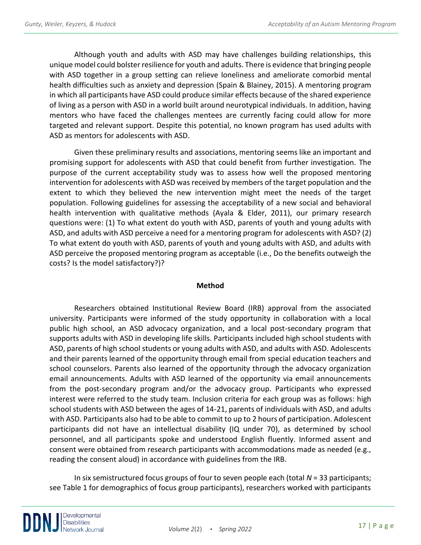Although youth and adults with ASD may have challenges building relationships, this unique model could bolster resilience for youth and adults. There is evidence that bringing people with ASD together in a group setting can relieve loneliness and ameliorate comorbid mental health difficulties such as anxiety and depression (Spain & Blainey, 2015). A mentoring program in which all participants have ASD could produce similar effects because of the shared experience of living as a person with ASD in a world built around neurotypical individuals. In addition, having mentors who have faced the challenges mentees are currently facing could allow for more targeted and relevant support. Despite this potential, no known program has used adults with ASD as mentors for adolescents with ASD.

Given these preliminary results and associations, mentoring seems like an important and promising support for adolescents with ASD that could benefit from further investigation. The purpose of the current acceptability study was to assess how well the proposed mentoring intervention for adolescents with ASD was received by members of the target population and the extent to which they believed the new intervention might meet the needs of the target population. Following guidelines for assessing the acceptability of a new social and behavioral health intervention with qualitative methods (Ayala & Elder, 2011), our primary research questions were: (1) To what extent do youth with ASD, parents of youth and young adults with ASD, and adults with ASD perceive a need for a mentoring program for adolescents with ASD? (2) To what extent do youth with ASD, parents of youth and young adults with ASD, and adults with ASD perceive the proposed mentoring program as acceptable (i.e., Do the benefits outweigh the costs? Is the model satisfactory?)?

#### **Method**

Researchers obtained Institutional Review Board (IRB) approval from the associated university. Participants were informed of the study opportunity in collaboration with a local public high school, an ASD advocacy organization, and a local post-secondary program that supports adults with ASD in developing life skills. Participants included high school students with ASD, parents of high school students or young adults with ASD, and adults with ASD. Adolescents and their parents learned of the opportunity through email from special education teachers and school counselors. Parents also learned of the opportunity through the advocacy organization email announcements. Adults with ASD learned of the opportunity via email announcements from the post-secondary program and/or the advocacy group. Participants who expressed interest were referred to the study team. Inclusion criteria for each group was as follows: high school students with ASD between the ages of 14-21, parents of individuals with ASD, and adults with ASD. Participants also had to be able to commit to up to 2 hours of participation. Adolescent participants did not have an intellectual disability (IQ under 70), as determined by school personnel, and all participants spoke and understood English fluently. Informed assent and consent were obtained from research participants with accommodations made as needed (e.g., reading the consent aloud) in accordance with guidelines from the IRB.

In six semistructured focus groups of four to seven people each (total *N* = 33 participants; see Table 1 for demographics of focus group participants), researchers worked with participants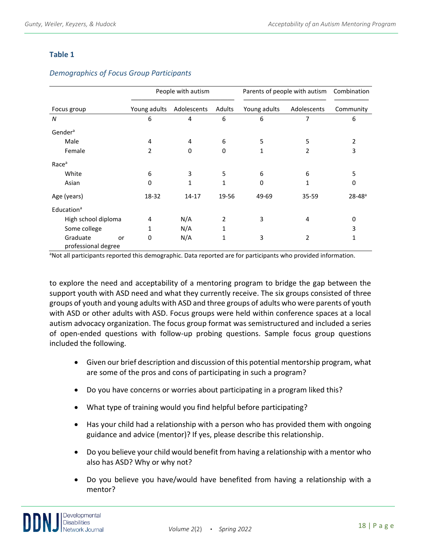## **Table 1**

|                                       | People with autism |                |              | Parents of people with autism |              | Combination    |
|---------------------------------------|--------------------|----------------|--------------|-------------------------------|--------------|----------------|
| Focus group                           | Young adults       | Adolescents    | Adults       | Young adults                  | Adolescents  | Community      |
| N                                     | 6                  | $\overline{4}$ | 6            | 6                             | 7            | 6              |
| Gender <sup>a</sup>                   |                    |                |              |                               |              |                |
| Male                                  | 4                  | 4              | 6            | 5                             | 5            | $\overline{2}$ |
| Female                                | 2                  | 0              | 0            | 1                             | 2            | 3              |
| Race <sup>a</sup>                     |                    |                |              |                               |              |                |
| White                                 | 6                  | 3              | 5            | 6                             | 6            | 5              |
| Asian                                 | 0                  | $\mathbf{1}$   | $\mathbf{1}$ | 0                             | $\mathbf{1}$ | 0              |
| Age (years)                           | 18-32              | $14 - 17$      | 19-56        | 49-69                         | 35-59        | $28 - 48^a$    |
| Education <sup>a</sup>                |                    |                |              |                               |              |                |
| High school diploma                   | 4                  | N/A            | 2            | 3                             | 4            | 0              |
| Some college                          |                    | N/A            | 1            |                               |              | 3              |
| Graduate<br>or<br>professional degree | 0                  | N/A            | 1            | 3                             | 2            | 1              |

## *Demographics of Focus Group Participants*

<sup>a</sup>Not all participants reported this demographic. Data reported are for participants who provided information.

to explore the need and acceptability of a mentoring program to bridge the gap between the support youth with ASD need and what they currently receive. The six groups consisted of three groups of youth and young adults with ASD and three groups of adults who were parents of youth with ASD or other adults with ASD. Focus groups were held within conference spaces at a local autism advocacy organization. The focus group format was semistructured and included a series of open-ended questions with follow-up probing questions. Sample focus group questions included the following.

- Given our brief description and discussion of this potential mentorship program, what are some of the pros and cons of participating in such a program?
- Do you have concerns or worries about participating in a program liked this?
- What type of training would you find helpful before participating?
- Has your child had a relationship with a person who has provided them with ongoing guidance and advice (mentor)? If yes, please describe this relationship.
- Do you believe your child would benefit from having a relationship with a mentor who also has ASD? Why or why not?
- Do you believe you have/would have benefited from having a relationship with a mentor?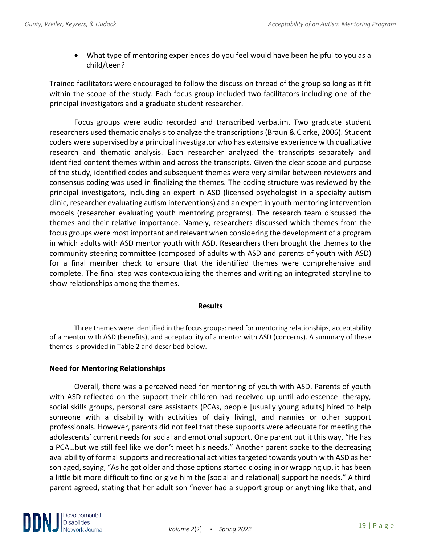• What type of mentoring experiences do you feel would have been helpful to you as a child/teen?

Trained facilitators were encouraged to follow the discussion thread of the group so long as it fit within the scope of the study. Each focus group included two facilitators including one of the principal investigators and a graduate student researcher.

Focus groups were audio recorded and transcribed verbatim. Two graduate student researchers used thematic analysis to analyze the transcriptions (Braun & Clarke, 2006). Student coders were supervised by a principal investigator who has extensive experience with qualitative research and thematic analysis. Each researcher analyzed the transcripts separately and identified content themes within and across the transcripts. Given the clear scope and purpose of the study, identified codes and subsequent themes were very similar between reviewers and consensus coding was used in finalizing the themes. The coding structure was reviewed by the principal investigators, including an expert in ASD (licensed psychologist in a specialty autism clinic, researcher evaluating autism interventions) and an expert in youth mentoring intervention models (researcher evaluating youth mentoring programs). The research team discussed the themes and their relative importance. Namely, researchers discussed which themes from the focus groups were most important and relevant when considering the development of a program in which adults with ASD mentor youth with ASD. Researchers then brought the themes to the community steering committee (composed of adults with ASD and parents of youth with ASD) for a final member check to ensure that the identified themes were comprehensive and complete. The final step was contextualizing the themes and writing an integrated storyline to show relationships among the themes.

## **Results**

Three themes were identified in the focus groups: need for mentoring relationships, acceptability of a mentor with ASD (benefits), and acceptability of a mentor with ASD (concerns). A summary of these themes is provided in Table 2 and described below.

## **Need for Mentoring Relationships**

Overall, there was a perceived need for mentoring of youth with ASD. Parents of youth with ASD reflected on the support their children had received up until adolescence: therapy, social skills groups, personal care assistants (PCAs, people [usually young adults] hired to help someone with a disability with activities of daily living), and nannies or other support professionals. However, parents did not feel that these supports were adequate for meeting the adolescents' current needs for social and emotional support. One parent put it this way, "He has a PCA…but we still feel like we don't meet his needs." Another parent spoke to the decreasing availability of formal supports and recreational activities targeted towards youth with ASD as her son aged, saying, "As he got older and those options started closing in or wrapping up, it has been a little bit more difficult to find or give him the [social and relational] support he needs." A third parent agreed, stating that her adult son "never had a support group or anything like that, and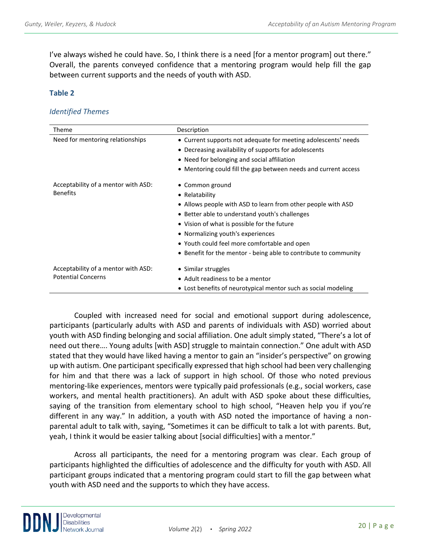I've always wished he could have. So, I think there is a need [for a mentor program] out there." Overall, the parents conveyed confidence that a mentoring program would help fill the gap between current supports and the needs of youth with ASD.

## **Table 2**

#### *Identified Themes*

| Theme                               | Description                                                      |  |  |  |  |
|-------------------------------------|------------------------------------------------------------------|--|--|--|--|
| Need for mentoring relationships    | • Current supports not adequate for meeting adolescents' needs   |  |  |  |  |
|                                     | • Decreasing availability of supports for adolescents            |  |  |  |  |
|                                     | • Need for belonging and social affiliation                      |  |  |  |  |
|                                     | • Mentoring could fill the gap between needs and current access  |  |  |  |  |
| Acceptability of a mentor with ASD: | • Common ground                                                  |  |  |  |  |
| <b>Benefits</b>                     | • Relatability                                                   |  |  |  |  |
|                                     | • Allows people with ASD to learn from other people with ASD     |  |  |  |  |
|                                     | • Better able to understand youth's challenges                   |  |  |  |  |
|                                     | • Vision of what is possible for the future                      |  |  |  |  |
|                                     | • Normalizing youth's experiences                                |  |  |  |  |
|                                     | • Youth could feel more comfortable and open                     |  |  |  |  |
|                                     | • Benefit for the mentor - being able to contribute to community |  |  |  |  |
| Acceptability of a mentor with ASD: | • Similar struggles                                              |  |  |  |  |
| <b>Potential Concerns</b>           | • Adult readiness to be a mentor                                 |  |  |  |  |
|                                     | • Lost benefits of neurotypical mentor such as social modeling   |  |  |  |  |

Coupled with increased need for social and emotional support during adolescence, participants (particularly adults with ASD and parents of individuals with ASD) worried about youth with ASD finding belonging and social affiliation. One adult simply stated, "There's a lot of need out there…. Young adults [with ASD] struggle to maintain connection." One adult with ASD stated that they would have liked having a mentor to gain an "insider's perspective" on growing up with autism. One participant specifically expressed that high school had been very challenging for him and that there was a lack of support in high school. Of those who noted previous mentoring-like experiences, mentors were typically paid professionals (e.g., social workers, case workers, and mental health practitioners). An adult with ASD spoke about these difficulties, saying of the transition from elementary school to high school, "Heaven help you if you're different in any way." In addition, a youth with ASD noted the importance of having a nonparental adult to talk with, saying, "Sometimes it can be difficult to talk a lot with parents. But, yeah, I think it would be easier talking about [social difficulties] with a mentor."

Across all participants, the need for a mentoring program was clear. Each group of participants highlighted the difficulties of adolescence and the difficulty for youth with ASD. All participant groups indicated that a mentoring program could start to fill the gap between what youth with ASD need and the supports to which they have access.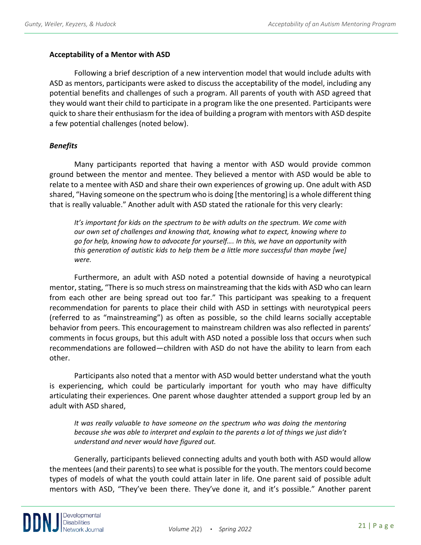## **Acceptability of a Mentor with ASD**

Following a brief description of a new intervention model that would include adults with ASD as mentors, participants were asked to discuss the acceptability of the model, including any potential benefits and challenges of such a program. All parents of youth with ASD agreed that they would want their child to participate in a program like the one presented. Participants were quick to share their enthusiasm for the idea of building a program with mentors with ASD despite a few potential challenges (noted below).

## *Benefits*

Many participants reported that having a mentor with ASD would provide common ground between the mentor and mentee. They believed a mentor with ASD would be able to relate to a mentee with ASD and share their own experiences of growing up. One adult with ASD shared, "Having someone on the spectrum who is doing [the mentoring] is a whole different thing that is really valuable." Another adult with ASD stated the rationale for this very clearly:

*It's important for kids on the spectrum to be with adults on the spectrum. We come with our own set of challenges and knowing that, knowing what to expect, knowing where to go for help, knowing how to advocate for yourself…. In this, we have an opportunity with this generation of autistic kids to help them be a little more successful than maybe [we] were.*

Furthermore, an adult with ASD noted a potential downside of having a neurotypical mentor, stating, "There is so much stress on mainstreaming that the kids with ASD who can learn from each other are being spread out too far." This participant was speaking to a frequent recommendation for parents to place their child with ASD in settings with neurotypical peers (referred to as "mainstreaming") as often as possible, so the child learns socially acceptable behavior from peers. This encouragement to mainstream children was also reflected in parents' comments in focus groups, but this adult with ASD noted a possible loss that occurs when such recommendations are followed—children with ASD do not have the ability to learn from each other.

Participants also noted that a mentor with ASD would better understand what the youth is experiencing, which could be particularly important for youth who may have difficulty articulating their experiences. One parent whose daughter attended a support group led by an adult with ASD shared,

*It was really valuable to have someone on the spectrum who was doing the mentoring because she was able to interpret and explain to the parents a lot of things we just didn't understand and never would have figured out.*

Generally, participants believed connecting adults and youth both with ASD would allow the mentees (and their parents) to see what is possible for the youth. The mentors could become types of models of what the youth could attain later in life. One parent said of possible adult mentors with ASD, "They've been there. They've done it, and it's possible." Another parent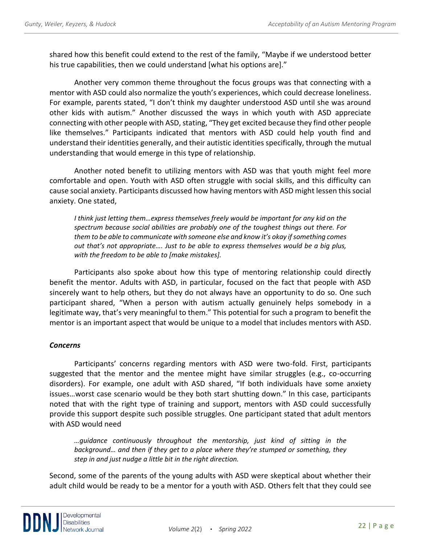shared how this benefit could extend to the rest of the family, "Maybe if we understood better his true capabilities, then we could understand [what his options are]."

Another very common theme throughout the focus groups was that connecting with a mentor with ASD could also normalize the youth's experiences, which could decrease loneliness. For example, parents stated, "I don't think my daughter understood ASD until she was around other kids with autism." Another discussed the ways in which youth with ASD appreciate connecting with other people with ASD, stating, "They get excited because they find other people like themselves." Participants indicated that mentors with ASD could help youth find and understand their identities generally, and their autistic identities specifically, through the mutual understanding that would emerge in this type of relationship.

Another noted benefit to utilizing mentors with ASD was that youth might feel more comfortable and open. Youth with ASD often struggle with social skills, and this difficulty can cause social anxiety. Participants discussed how having mentors with ASD might lessen this social anxiety. One stated,

*I think just letting them…express themselves freely would be important for any kid on the spectrum because social abilities are probably one of the toughest things out there. For them to be able to communicate with someone else and know it's okay if something comes out that's not appropriate…. Just to be able to express themselves would be a big plus, with the freedom to be able to [make mistakes].*

Participants also spoke about how this type of mentoring relationship could directly benefit the mentor. Adults with ASD, in particular, focused on the fact that people with ASD sincerely want to help others, but they do not always have an opportunity to do so. One such participant shared, "When a person with autism actually genuinely helps somebody in a legitimate way, that's very meaningful to them." This potential for such a program to benefit the mentor is an important aspect that would be unique to a model that includes mentors with ASD.

## *Concerns*

Participants' concerns regarding mentors with ASD were two-fold. First, participants suggested that the mentor and the mentee might have similar struggles (e.g., co-occurring disorders). For example, one adult with ASD shared, "If both individuals have some anxiety issues…worst case scenario would be they both start shutting down." In this case, participants noted that with the right type of training and support, mentors with ASD could successfully provide this support despite such possible struggles. One participant stated that adult mentors with ASD would need

*…guidance continuously throughout the mentorship, just kind of sitting in the background… and then if they get to a place where they're stumped or something, they step in and just nudge a little bit in the right direction.*

Second, some of the parents of the young adults with ASD were skeptical about whether their adult child would be ready to be a mentor for a youth with ASD. Others felt that they could see

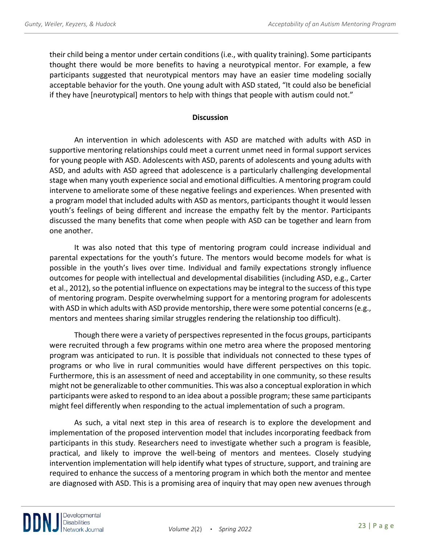their child being a mentor under certain conditions (i.e., with quality training). Some participants thought there would be more benefits to having a neurotypical mentor. For example, a few participants suggested that neurotypical mentors may have an easier time modeling socially acceptable behavior for the youth. One young adult with ASD stated, "It could also be beneficial if they have [neurotypical] mentors to help with things that people with autism could not."

## **Discussion**

An intervention in which adolescents with ASD are matched with adults with ASD in supportive mentoring relationships could meet a current unmet need in formal support services for young people with ASD. Adolescents with ASD, parents of adolescents and young adults with ASD, and adults with ASD agreed that adolescence is a particularly challenging developmental stage when many youth experience social and emotional difficulties. A mentoring program could intervene to ameliorate some of these negative feelings and experiences. When presented with a program model that included adults with ASD as mentors, participants thought it would lessen youth's feelings of being different and increase the empathy felt by the mentor. Participants discussed the many benefits that come when people with ASD can be together and learn from one another.

It was also noted that this type of mentoring program could increase individual and parental expectations for the youth's future. The mentors would become models for what is possible in the youth's lives over time. Individual and family expectations strongly influence outcomes for people with intellectual and developmental disabilities (including ASD, e.g., Carter et al., 2012), so the potential influence on expectations may be integral to the success of this type of mentoring program. Despite overwhelming support for a mentoring program for adolescents with ASD in which adults with ASD provide mentorship, there were some potential concerns (e.g., mentors and mentees sharing similar struggles rendering the relationship too difficult).

Though there were a variety of perspectives represented in the focus groups, participants were recruited through a few programs within one metro area where the proposed mentoring program was anticipated to run. It is possible that individuals not connected to these types of programs or who live in rural communities would have different perspectives on this topic. Furthermore, this is an assessment of need and acceptability in one community, so these results might not be generalizable to other communities. This was also a conceptual exploration in which participants were asked to respond to an idea about a possible program; these same participants might feel differently when responding to the actual implementation of such a program.

As such, a vital next step in this area of research is to explore the development and implementation of the proposed intervention model that includes incorporating feedback from participants in this study. Researchers need to investigate whether such a program is feasible, practical, and likely to improve the well-being of mentors and mentees. Closely studying intervention implementation will help identify what types of structure, support, and training are required to enhance the success of a mentoring program in which both the mentor and mentee are diagnosed with ASD. This is a promising area of inquiry that may open new avenues through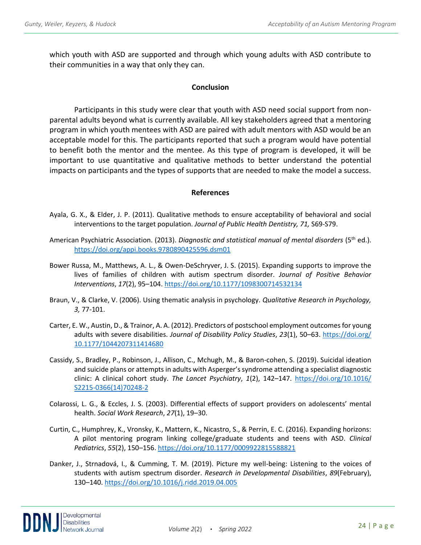which youth with ASD are supported and through which young adults with ASD contribute to their communities in a way that only they can.

#### **Conclusion**

Participants in this study were clear that youth with ASD need social support from nonparental adults beyond what is currently available. All key stakeholders agreed that a mentoring program in which youth mentees with ASD are paired with adult mentors with ASD would be an acceptable model for this. The participants reported that such a program would have potential to benefit both the mentor and the mentee. As this type of program is developed, it will be important to use quantitative and qualitative methods to better understand the potential impacts on participants and the types of supports that are needed to make the model a success.

#### **References**

- Ayala, G. X., & Elder, J. P. (2011). Qualitative methods to ensure acceptability of behavioral and social interventions to the target population. *Journal of Public Health Dentistry, 71,* S69-S79.
- American Psychiatric Association. (2013). *Diagnostic and statistical manual of mental disorders* (5<sup>th</sup> ed.). <https://doi.org/appi.books.9780890425596.dsm01>
- Bower Russa, M., Matthews, A. L., & Owen-DeSchryver, J. S. (2015). Expanding supports to improve the lives of families of children with autism spectrum disorder. *Journal of Positive Behavior Interventions*, *17*(2), 95–104.<https://doi.org/10.1177/1098300714532134>
- Braun, V., & Clarke, V. (2006). Using thematic analysis in psychology. *Qualitative Research in Psychology, 3,* 77-101.
- Carter, E. W., Austin, D., & Trainor, A. A. (2012). Predictors of postschool employment outcomes for young adults with severe disabilities. *Journal of Disability Policy Studies*, *23*(1), 50–63. [https://doi.org/](https://doi.org/%2010.1177/1044207311414680)  [10.1177/1044207311414680](https://doi.org/%2010.1177/1044207311414680)
- Cassidy, S., Bradley, P., Robinson, J., Allison, C., Mchugh, M., & Baron-cohen, S. (2019). Suicidal ideation and suicide plans or attempts in adults with Asperger's syndrome attending a specialist diagnostic clinic: A clinical cohort study. *The Lancet Psychiatry*, *1*(2), 142–147. [https://doi.org/10.1016/](https://doi.org/10.1016/%20S2215-0366(14)70248-2)  [S2215-0366\(14\)70248-2](https://doi.org/10.1016/%20S2215-0366(14)70248-2)
- Colarossi, L. G., & Eccles, J. S. (2003). Differential effects of support providers on adolescents' mental health. *Social Work Research*, *27*(1), 19–30.
- Curtin, C., Humphrey, K., Vronsky, K., Mattern, K., Nicastro, S., & Perrin, E. C. (2016). Expanding horizons: A pilot mentoring program linking college/graduate students and teens with ASD. *Clinical Pediatrics*, *55*(2), 150–156[. https://doi.org/10.1177/0009922815588821](https://doi.org/10.1177/0009922815588821)
- Danker, J., Strnadová, I., & Cumming, T. M. (2019). Picture my well-being: Listening to the voices of students with autism spectrum disorder. *Research in Developmental Disabilities*, *89*(February), 130–140.<https://doi.org/10.1016/j.ridd.2019.04.005>